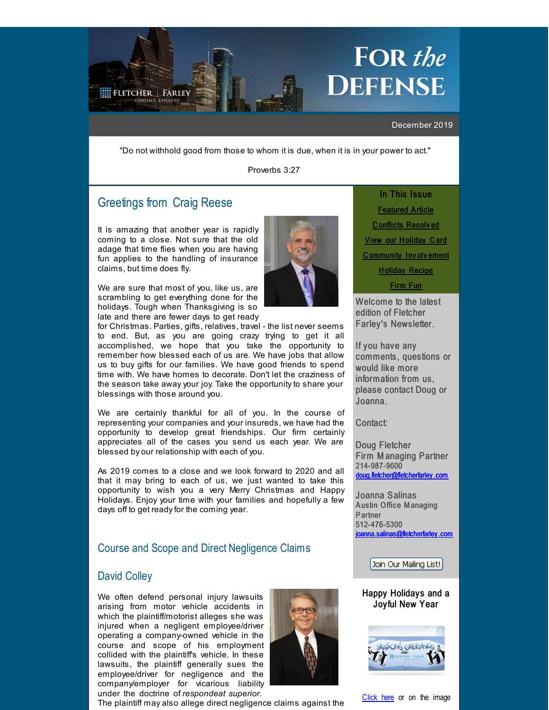# FOR the DEFENSE

#### December 2019

"Do not withhold good from those to whom it is due, when it is in your power to act."

Proverbs 3:27

## Greetings from Craig [Reese](http://r20.rs6.net/tn.jsp?f=001FV7RgZTL6ZVFhsuw8IsoZqLGpahj9xiuH0riqiyS1DHdcJDs3DNP8SUyfbxVVa5F5hGFubAhn1bZZKfavLSWRteqn0jeA5UadvhoGdy6Bl28db7DkSPNxtnyVmUiVQj-08jdflvgoc_0ax14LjYQ4jTOCxkKo954KKbdf3ydoRYOkw4h39ej60xnQQoO-hi6_Z7iEzZVGRUdr6zInaPIGA==&c=&ch=)

<span id="page-0-0"></span>**FLETCHER L FARLEY** 

It is amazing that another year is rapidly coming to a close. Not sure that the old adage that time flies when you are having fun applies to the handling of insurance claims, but time does fly.

We are sure that most of you, like us, are scrambling to get everything done for the holidays. Tough when Thanksgiving is so late and there are fewer days to get ready

for Christmas. Parties, gifts, relatives, travel - the list never seems to end. But, as you are going crazy trying to get it all accomplished, we hope that you take the opportunity to remember how blessed each of us are. We have jobs that allow us to buy gifts for our families. We have good friends to spend time with. We have homes to decorate. Don't let the craziness of the season take away your joy. Take the opportunity to share your blessings with those around you.

We are certainly thankful for all of you. In the course of representing your companies and your insureds, we have had the opportunity to develop great friendships. Our firm certainly appreciates all of the cases you send us each year. We are blessed by our relationship with each of you.

As 2019 comes to a close and we look forward to 2020 and all that it may bring to each of us, we just wanted to take this opportunity to wish you a very Merry Christmas and Happy Holidays. Enjoy your time with your families and hopefully a few days off to get ready for the coming year.

## Course and Scope and Direct Negligence Claims

## David [Colley](http://r20.rs6.net/tn.jsp?f=001FV7RgZTL6ZVFhsuw8IsoZqLGpahj9xiuH0riqiyS1DHdcJDs3DNP8WNj4vFaLcfjz9ee4QRH_pYX4CsGLpDEYda_myjymxMIhz2Kaf_8OTqQVAyhXYGUkflqIu3-fnafzbpfATXAQMW6jFi7EQuj3heSlBcPEF7_MRXnj5TMOiPqo6Njeyg7zaFPVbVq3k5IV5FLmti1ZO0a_KxiopWf8A==&c=&ch=)

We often defend personal injury lawsuits arising from motor vehicle accidents in which the plaintiff/motorist alleges she was injured when a negligent employee/driver operating a company-owned vehicle in the course and scope of his employment collided with the plaintiff's vehicle. In these lawsuits, the plaintiff generally sues the employee/driver for negligence and the company/employer for vicarious liability under the doctrine of *respondeat superior*.



The plaintiff may also allege direct negligence claims against the

In This Issue [Featured](#page-0-0) Article C [onflicts](#page-0-0) Resolv ed **View our H[oliday](#page-0-0) Card** C [ommunity](#page-0-0) Inv olv ement **Holiday [Recipe](#page-0-0)** 

[Firm](#page-0-0) Fun

Welcome to the latest edition of Fletcher Farley's Newsletter.

If you have any comments, questions or would like more information from us, please contact Doug or Joanna.

Contact:

Doug Fletcher Firm M anaging Partner 214-987-9600 [doug.fletcher@fletcherfarley](mailto:doug.fletcher@fletcherfarley.com) .com

Joanna Salinas Austin Office Managing **Partner** 512-476-5300 [joanna.salinas@fletcherfarley](mailto:joanna.salinas@fletcherfarley.com) .com

Join Our Mailing List!

#### Happy Holidays and a Joyful New Year



[Click](http://r20.rs6.net/tn.jsp?f=001FV7RgZTL6ZVFhsuw8IsoZqLGpahj9xiuH0riqiyS1DHdcJDs3DNP8ZwdACAOm9ducK4peSl4ZATmt34UgW9fI7cHi0xNOdekJROPNObuvk35bS9aS-PpHpx3oF2Iy6jWUaHdKsyoKEr_CNFCT_lYMWN3-DZ29i55BpOPI1oG66Yg6R-o8l_zdMDleLqZvKrjDqU7eAZPJ1zEwcMVtKHf8kvQInG7Q9ltpGzpv1h0INOiA07vG2eoMw==&c=&ch=) here or on the image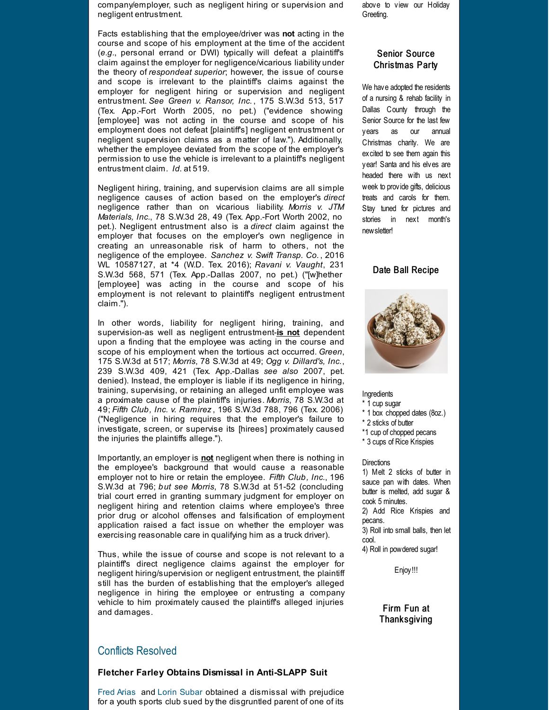company/employer, such as negligent hiring or supervision and negligent entrustment.

Facts establishing that the employee/driver was **not** acting in the course and scope of his employment at the time of the accident (*e.g*., personal errand or DWI) typically will defeat a plaintiff's claim against the employer for negligence/vicarious liability under the theory of *respondeat superior*; however, the issue of course and scope is irrelevant to the plaintiff's claims against the employer for negligent hiring or supervision and negligent entrustment. *See Green v. Ransor, Inc.* , 175 S.W.3d 513, 517 (Tex. App.-Fort Worth 2005, no pet.) ("evidence showing [employee] was not acting in the course and scope of his employment does not defeat [plaintiff's] negligent entrustment or negligent supervision claims as a matter of law."). Additionally, whether the employee deviated from the scope of the employer's permission to use the vehicle is irrelevant to a plaintiff's negligent entrustment claim. *Id.* at 519.

Negligent hiring, training, and supervision claims are all simple negligence causes of action based on the employer's *direct* negligence rather than on vicarious liability. *Morris v. JTM Materials, Inc.*, 78 S.W.3d 28, 49 (Tex. App.-Fort Worth 2002, no pet.). Negligent entrustment also is a *direct* claim against the employer that focuses on the employer's own negligence in creating an unreasonable risk of harm to others, not the negligence of the employee. *Sanchez v. Swift Transp. Co.* , 2016 WL 10587127, at \*4 (W.D. Tex. 2016); *Ravani v. Vaught*, 231 S.W.3d 568, 571 (Tex. App.-Dallas 2007, no pet.) ("[w]hether [employee] was acting in the course and scope of his employment is not relevant to plaintiff's negligent entrustment claim.").

In other words, liability for negligent hiring, training, and supervision-as well as negligent entrustment-**is not** dependent upon a finding that the employee was acting in the course and scope of his employment when the tortious act occurred. *Green*, 175 S.W.3d at 517; *Morris*, 78 S.W.3d at 49; *Ogg v. Dillard's, Inc.*, 239 S.W.3d 409, 421 (Tex. App.-Dallas *see also* 2007, pet. denied). Instead, the employer is liable if its negligence in hiring, training, supervising, or retaining an alleged unfit employee was a proximate cause of the plaintiff's injuries. *Morris*, 78 S.W.3d at 49; *Fifth Club, Inc. v. Ramirez*, 196 S.W.3d 788, 796 (Tex. 2006) ("Negligence in hiring requires that the employer's failure to investigate, screen, or supervise its [hirees] proximately caused the injuries the plaintiffs allege.").

Importantly, an employer is **not** negligent when there is nothing in the employee's background that would cause a reasonable employer not to hire or retain the employee. *Fifth Club, Inc.*, 196 S.W.3d at 796; *but see Morris*, 78 S.W.3d at 51-52 (concluding trial court erred in granting summary judgment for employer on negligent hiring and retention claims where employee's three prior drug or alcohol offenses and falsification of employment application raised a fact issue on whether the employer was exercising reasonable care in qualifying him as a truck driver).

Thus, while the issue of course and scope is not relevant to a plaintiff's direct negligence claims against the employer for negligent hiring/supervision or negligent entrustment, the plaintiff still has the burden of establishing that the employer's alleged negligence in hiring the employee or entrusting a company vehicle to him proximately caused the plaintiff's alleged injuries and damages.

### Conflicts Resolved

#### **Fletcher Farley Obtains Dismissal in Anti-SLAPP Suit**

Fred [Arias](http://r20.rs6.net/tn.jsp?f=001FV7RgZTL6ZVFhsuw8IsoZqLGpahj9xiuH0riqiyS1DHdcJDs3DNP8Q3Gtvf4rRGBZ2ZFoxASto0a1At24uJ2zwR84I22bly4__rM1QG40eHJGlzdjMGE4VaTMLWpgKKhs1F_XNBdfUSA_NkV1hbM_ZMBIuy6GmaSdZdGmw8UfI8pBi1hWgxQbEMmgrmdI4riDGnvcpCCNPQ4aSQ2Kah8tg==&c=&ch=) and Lorin [Subar](http://r20.rs6.net/tn.jsp?f=001FV7RgZTL6ZVFhsuw8IsoZqLGpahj9xiuH0riqiyS1DHdcJDs3DNP8Y0O3MfNTPdUQFhFLKf9Kx-hl-9nGNfoZvk5qF3rFTinOYAZhWzD3v8owz9WEpItxqx2yP4WE3rBjC2zgeizg9tYrHwXVKvybG7TGe-siEoWdoYPRHSPevMhZqwdZViXEmCJfX2jTIicCRkbd6dhKMPrDCCq8AFN4w==&c=&ch=) obtained a dismissal with prejudice for a youth sports club sued by the disgruntled parent of one of its

above to view our Holiday Greeting.

#### Senior Source Christmas Party

We have adopted the residents of a nursing & rehab facility in Dallas County through the Senior Source for the last few years as our annual Christmas charity. We are excited to see them again this year! Santa and his elves are headed there with us next week to provide gifts, delicious treats and carols for them. Stay tuned for pictures and stories in next month's newsletter!

#### Date Ball Recipe



#### **Ingredients**

- \* 1 cup sugar
- \* 1 box chopped dates (8oz.)
- \* 2 sticks of butter
- \*1 cup of chopped pecans
- \* 3 cups of Rice Krispies

#### **Directions**

1) Melt 2 sticks of butter in sauce pan with dates. When butter is melted, add sugar & cook 5 minutes.

2) Add Rice Krispies and pecans.

3) Roll into small balls, then let cool.

4) Roll in powdered sugar!

Enjoy!!!

#### Firm Fun at **Thanksgiving**